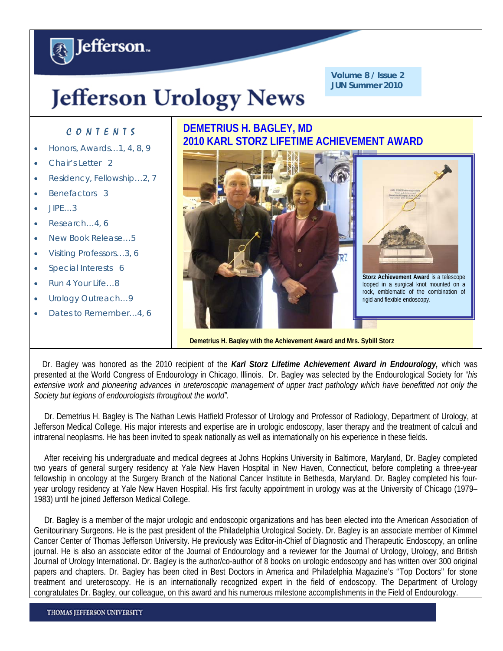# **Jefferson Urology News**

**Volume 8 / Issue 2 JUN Summer 2010**

### C O N T E N T S

**A** Jefferson.

- Honors, Awards…1, 4, 8, 9
- Chair's Letter 2
- Residency, Fellowship…2, 7
- Benefactors 3
- JIPE…3
- Research…4, 6
- New Book Release…5
- Visiting Professors…3, 6
- Special Interests 6
- Run 4 Your Life…8
- Urology Outreach...9
- Dates to Remember…4, 6

# **DEMETRIUS H. BAGLEY, MD 2010 KARL STORZ LIFETIME ACHIEVEMENT AWARD**



**Demetrius H. Bagley with the Achievement Award and Mrs. Sybill Storz**

 Dr. Bagley was honored as the 2010 recipient of the *Karl Storz Lifetime Achievement Award in Endourology,* which was presented at the World Congress of Endourology in Chicago, Illinois. Dr. Bagley was selected by the Endourological Society for "*his*  extensive work and pioneering advances in ureteroscopic management of upper tract pathology which have benefitted not only the *Society but legions of endourologists throughout the world".* 

 Dr. Demetrius H. Bagley is The Nathan Lewis Hatfield Professor of Urology and Professor of Radiology, Department of Urology, at Jefferson Medical College. His major interests and expertise are in urologic endoscopy, laser therapy and the treatment of calculi and intrarenal neoplasms. He has been invited to speak nationally as well as internationally on his experience in these fields.

 After receiving his undergraduate and medical degrees at Johns Hopkins University in Baltimore, Maryland, Dr. Bagley completed two years of general surgery residency at Yale New Haven Hospital in New Haven, Connecticut, before completing a three-year fellowship in oncology at the Surgery Branch of the National Cancer Institute in Bethesda, Maryland. Dr. Bagley completed his fouryear urology residency at Yale New Haven Hospital. His first faculty appointment in urology was at the University of Chicago (1979– 1983) until he joined Jefferson Medical College.

 Dr. Bagley is a member of the major urologic and endoscopic organizations and has been elected into the American Association of Genitourinary Surgeons. He is the past president of the Philadelphia Urological Society. Dr. Bagley is an associate member of Kimmel Cancer Center of Thomas Jefferson University. He previously was Editor-in-Chief of Diagnostic and Therapeutic Endoscopy, an online journal. He is also an associate editor of the Journal of Endourology and a reviewer for the Journal of Urology, Urology, and British Journal of Urology International. Dr. Bagley is the author/co-author of 8 books on urologic endoscopy and has written over 300 original papers and chapters. Dr. Bagley has been cited in Best Doctors in America and Philadelphia Magazine's ''Top Doctors'' for stone treatment and ureteroscopy. He is an internationally recognized expert in the field of endoscopy. The Department of Urology congratulates Dr. Bagley, our colleague, on this award and his numerous milestone accomplishments in the Field of Endourology.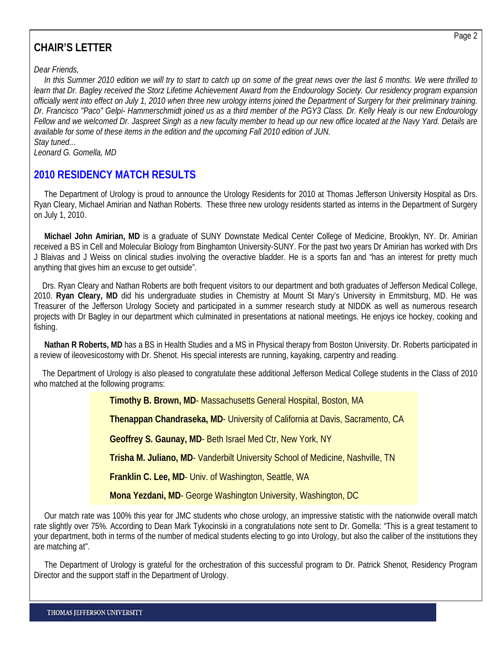#### Page 2

# **CHAIR'S LETTER**

*Dear Friends,* 

 *In this Summer 2010 edition we will try to start to catch up on some of the great news over the last 6 months. We were thrilled to learn that Dr. Bagley received the Storz Lifetime Achievement Award from the Endourology Society. Our residency program expansion officially went into effect on July 1, 2010 when three new urology interns joined the Department of Surgery for their preliminary training. Dr. Francisco "Paco" Gelpi- Hammerschmidt joined us as a third member of the PGY3 Class. Dr. Kelly Healy is our new Endourology Fellow and we welcomed Dr. Jaspreet Singh as a new faculty member to head up our new office located at the Navy Yard. Details are available for some of these items in the edition and the upcoming Fall 2010 edition of JUN. Stay tuned...* 

*Leonard G. Gomella, MD* 

## **2010 RESIDENCY MATCH RESULTS**

 The Department of Urology is proud to announce the Urology Residents for 2010 at Thomas Jefferson University Hospital as Drs. Ryan Cleary, Michael Amirian and Nathan Roberts. These three new urology residents started as interns in the Department of Surgery on July 1, 2010.

 **Michael John Amirian, MD** is a graduate of SUNY Downstate Medical Center College of Medicine, Brooklyn, NY. Dr. Amirian received a BS in Cell and Molecular Biology from Binghamton University-SUNY. For the past two years Dr Amirian has worked with Drs J Blaivas and J Weiss on clinical studies involving the overactive bladder. He is a sports fan and "has an interest for pretty much anything that gives him an excuse to get outside".

 Drs. Ryan Cleary and Nathan Roberts are both frequent visitors to our department and both graduates of Jefferson Medical College, 2010. **Ryan Cleary, MD** did his undergraduate studies in Chemistry at Mount St Mary's University in Emmitsburg, MD. He was Treasurer of the Jefferson Urology Society and participated in a summer research study at NIDDK as well as numerous research projects with Dr Bagley in our department which culminated in presentations at national meetings. He enjoys ice hockey, cooking and fishing.

 **Nathan R Roberts, MD** has a BS in Health Studies and a MS in Physical therapy from Boston University. Dr. Roberts participated in a review of ileovesicostomy with Dr. Shenot. His special interests are running, kayaking, carpentry and reading.

 The Department of Urology is also pleased to congratulate these additional Jefferson Medical College students in the Class of 2010 who matched at the following programs:

**Timothy B. Brown, MD**- Massachusetts General Hospital, Boston, MA

**Thenappan Chandraseka, MD**- University of California at Davis, Sacramento, CA

**Geoffrey S. Gaunay, MD**- Beth Israel Med Ctr, New York, NY

**Trisha M. Juliano, MD**- Vanderbilt University School of Medicine, Nashville, TN

**Franklin C. Lee, MD**- Univ. of Washington, Seattle, WA

**Mona Yezdani, MD**- George Washington University, Washington, DC

 Our match rate was 100% this year for JMC students who chose urology, an impressive statistic with the nationwide overall match rate slightly over 75%. According to Dean Mark Tykocinski in a congratulations note sent to Dr. Gomella: "This is a great testament to your department, both in terms of the number of medical students electing to go into Urology, but also the caliber of the institutions they are matching at".

 The Department of Urology is grateful for the orchestration of this successful program to Dr. Patrick Shenot, Residency Program Director and the support staff in the Department of Urology.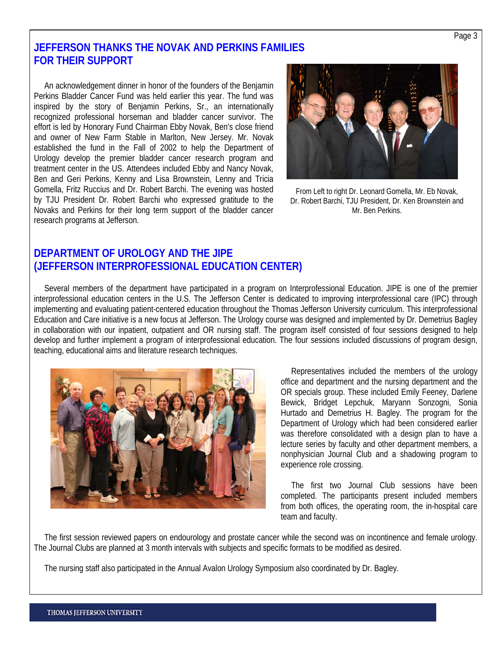### **JEFFERSON THANKS THE NOVAK AND PERKINS FAMILIES FOR THEIR SUPPORT**

 An acknowledgement dinner in honor of the founders of the Benjamin Perkins Bladder Cancer Fund was held earlier this year. The fund was inspired by the story of Benjamin Perkins, Sr., an internationally recognized professional horseman and bladder cancer survivor. The effort is led by Honorary Fund Chairman Ebby Novak, Ben's close friend and owner of New Farm Stable in Marlton, New Jersey. Mr. Novak established the fund in the Fall of 2002 to help the Department of Urology develop the premier bladder cancer research program and treatment center in the US. Attendees included Ebby and Nancy Novak, Ben and Geri Perkins, Kenny and Lisa Brownstein, Lenny and Tricia Gomella, Fritz Ruccius and Dr. Robert Barchi. The evening was hosted by TJU President Dr. Robert Barchi who expressed gratitude to the Novaks and Perkins for their long term support of the bladder cancer research programs at Jefferson.



From Left to right Dr. Leonard Gomella, Mr. Eb Novak, Dr. Robert Barchi, TJU President, Dr. Ken Brownstein and Mr. Ben Perkins.

### **DEPARTMENT OF UROLOGY AND THE JIPE (JEFFERSON INTERPROFESSIONAL EDUCATION CENTER)**

 Several members of the department have participated in a program on Interprofessional Education. JIPE is one of the premier interprofessional education centers in the U.S. The Jefferson Center is dedicated to improving interprofessional care (IPC) through implementing and evaluating patient-centered education throughout the Thomas Jefferson University curriculum. This interprofessional Education and Care initiative is a new focus at Jefferson. The Urology course was designed and implemented by Dr. Demetrius Bagley in collaboration with our inpatient, outpatient and OR nursing staff. The program itself consisted of four sessions designed to help develop and further implement a program of interprofessional education. The four sessions included discussions of program design, teaching, educational aims and literature research techniques.



 Representatives included the members of the urology office and department and the nursing department and the OR specials group. These included Emily Feeney, Darlene Bewick, Bridget Lepchuk, Maryann Sonzogni, Sonia Hurtado and Demetrius H. Bagley. The program for the Department of Urology which had been considered earlier was therefore consolidated with a design plan to have a lecture series by faculty and other department members, a nonphysician Journal Club and a shadowing program to experience role crossing.

 The first two Journal Club sessions have been completed. The participants present included members from both offices, the operating room, the in-hospital care team and faculty.

 The first session reviewed papers on endourology and prostate cancer while the second was on incontinence and female urology. The Journal Clubs are planned at 3 month intervals with subjects and specific formats to be modified as desired.

The nursing staff also participated in the Annual Avalon Urology Symposium also coordinated by Dr. Bagley.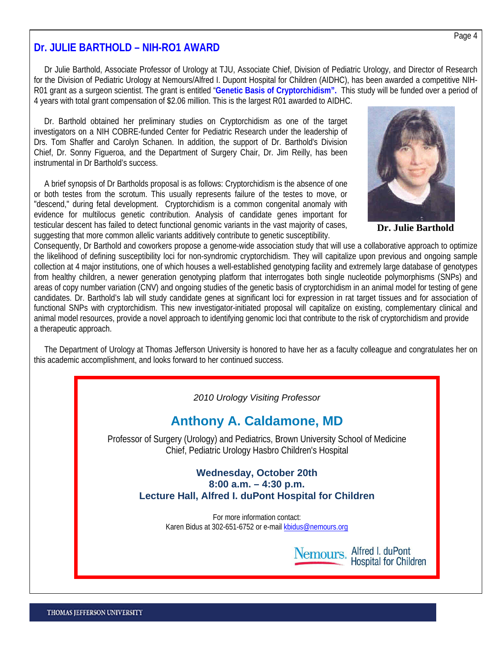### **Dr. JULIE BARTHOLD – NIH-RO1 AWARD**

 Dr Julie Barthold, Associate Professor of Urology at TJU, Associate Chief, Division of Pediatric Urology, and Director of Research for the Division of Pediatric Urology at Nemours/Alfred I. Dupont Hospital for Children (AIDHC), has been awarded a competitive NIH-R01 grant as a surgeon scientist. The grant is entitled "**Genetic Basis of Cryptorchidism".** This study will be funded over a period of 4 years with total grant compensation of \$2.06 million. This is the largest R01 awarded to AIDHC.

 Dr. Barthold obtained her preliminary studies on Cryptorchidism as one of the target investigators on a NIH COBRE-funded Center for Pediatric Research under the leadership of Drs. Tom Shaffer and Carolyn Schanen. In addition, the support of Dr. Barthold's Division Chief, Dr. Sonny Figueroa, and the Department of Surgery Chair, Dr. Jim Reilly, has been instrumental in Dr Barthold's success.

 A brief synopsis of Dr Bartholds proposal is as follows: Cryptorchidism is the absence of one or both testes from the scrotum. This usually represents failure of the testes to move, or "descend," during fetal development. Cryptorchidism is a common congenital anomaly with evidence for multilocus genetic contribution. Analysis of candidate genes important for testicular descent has failed to detect functional genomic variants in the vast majority of cases, suggesting that more common allelic variants additively contribute to genetic susceptibility.



**Dr. Julie Barthold** 

Consequently, Dr Barthold and coworkers propose a genome-wide association study that will use a collaborative approach to optimize the likelihood of defining susceptibility loci for non-syndromic cryptorchidism. They will capitalize upon previous and ongoing sample collection at 4 major institutions, one of which houses a well-established genotyping facility and extremely large database of genotypes from healthy children, a newer generation genotyping platform that interrogates both single nucleotide polymorphisms (SNPs) and areas of copy number variation (CNV) and ongoing studies of the genetic basis of cryptorchidism in an animal model for testing of gene candidates. Dr. Barthold's lab will study candidate genes at significant loci for expression in rat target tissues and for association of functional SNPs with cryptorchidism. This new investigator-initiated proposal will capitalize on existing, complementary clinical and animal model resources, provide a novel approach to identifying genomic loci that contribute to the risk of cryptorchidism and provide a therapeutic approach.

 The Department of Urology at Thomas Jefferson University is honored to have her as a faculty colleague and congratulates her on this academic accomplishment, and looks forward to her continued success.



# **Anthony A. Caldamone, MD**

Professor of Surgery (Urology) and Pediatrics, Brown University School of Medicine Chief, Pediatric Urology Hasbro Children's Hospital

#### **Wednesday, October 20th 8:00 a.m. – 4:30 p.m. Lecture Hall, Alfred I. duPont Hospital for Children**

For more information contact: Karen Bidus at 302-651-6752 or e-mail [kbidus@nemours.org](mailto:kbidus@nemours.org)

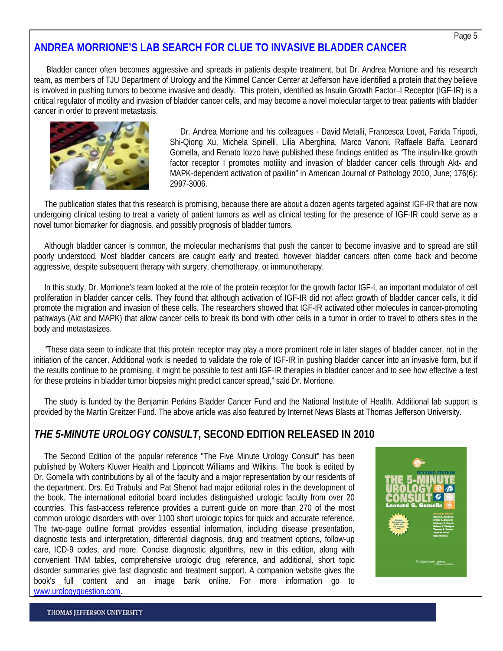## **ANDREA MORRIONE'S LAB SEARCH FOR CLUE TO INVASIVE BLADDER CANCER**

 Bladder cancer often becomes aggressive and spreads in patients despite treatment, but Dr. Andrea Morrione and his research team, as members of TJU Department of Urology and the Kimmel Cancer Center at Jefferson have identified a protein that they believe is involved in pushing tumors to become invasive and deadly. This protein, identified as Insulin Growth Factor–I Receptor (IGF-IR) is a critical regulator of motility and invasion of bladder cancer cells, and may become a novel molecular target to treat patients with bladder cancer in order to prevent metastasis.



 Dr. Andrea Morrione and his colleagues - David Metalli, Francesca Lovat, Farida Tripodi, Shi-Qiong Xu, Michela Spinelli, Lilia Alberghina, Marco Vanoni, Raffaele Baffa, Leonard Gomella, and Renato Iozzo have published these findings entitled as "The insulin-like growth factor receptor I promotes motility and invasion of bladder cancer cells through Akt- and MAPK-dependent activation of paxillin" in American Journal of Pathology 2010, June; 176(6): 2997-3006.

 The publication states that this research is promising, because there are about a dozen agents targeted against IGF-IR that are now undergoing clinical testing to treat a variety of patient tumors as well as clinical testing for the presence of IGF-IR could serve as a novel tumor biomarker for diagnosis, and possibly prognosis of bladder tumors.

 Although bladder cancer is common, the molecular mechanisms that push the cancer to become invasive and to spread are still poorly understood. Most bladder cancers are caught early and treated, however bladder cancers often come back and become aggressive, despite subsequent therapy with surgery, chemotherapy, or immunotherapy.

 In this study, Dr. Morrione's team looked at the role of the protein receptor for the growth factor IGF-I, an important modulator of cell proliferation in bladder cancer cells. They found that although activation of IGF-IR did not affect growth of bladder cancer cells, it did promote the migration and invasion of these cells. The researchers showed that IGF-IR activated other molecules in cancer-promoting pathways (Akt and MAPK) that allow cancer cells to break its bond with other cells in a tumor in order to travel to others sites in the body and metastasizes.

 "These data seem to indicate that this protein receptor may play a more prominent role in later stages of bladder cancer, not in the initiation of the cancer. Additional work is needed to validate the role of IGF-IR in pushing bladder cancer into an invasive form, but if the results continue to be promising, it might be possible to test anti IGF-IR therapies in bladder cancer and to see how effective a test for these proteins in bladder tumor biopsies might predict cancer spread," said Dr. Morrione.

 The study is funded by the Benjamin Perkins Bladder Cancer Fund and the National Institute of Health. Additional lab support is provided by the Martin Greitzer Fund. The above article was also featured by Internet News Blasts at Thomas Jefferson University.

### *THE 5-MINUTE UROLOGY CONSULT***, SECOND EDITION RELEASED IN 2010**

 The Second Edition of the popular reference "The Five Minute Urology Consult" has been published by Wolters Kluwer Health and Lippincott Williams and Wilkins. The book is edited by Dr. Gomella with contributions by all of the faculty and a major representation by our residents of the department. Drs. Ed Trabulsi and Pat Shenot had major editorial roles in the development of the book. The international editorial board includes distinguished urologic faculty from over 20 countries. This fast-access reference provides a current guide on more than 270 of the most common urologic disorders with over 1100 short urologic topics for quick and accurate reference. The two-page outline format provides essential information, including disease presentation, diagnostic tests and interpretation, differential diagnosis, drug and treatment options, follow-up care, ICD-9 codes, and more. Concise diagnostic algorithms, new in this edition, along with convenient TNM tables, comprehensive urologic drug reference, and additional, short topic disorder summaries give fast diagnostic and treatment support. A companion website gives the book's full content and an image bank online. For more information go to [www.urologyquestion.com.](http://www.urologyquestion.com/)

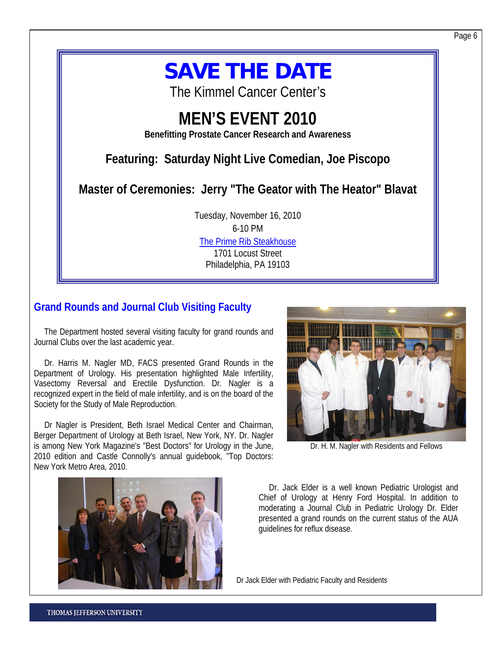# **SAVE THE DATE**

The Kimmel Cancer Center's

# **MEN'S EVENT 2010**

**Benefitting Prostate Cancer Research and Awareness** 

# **Featuring: Saturday Night Live Comedian, Joe Piscopo**

**Master of Ceremonies: Jerry "The Geator with The Heator" Blavat** 

Tuesday, November 16, 2010 6-10 PM [The Prime Rib Steakhouse](http://www.theprimerib.com/pa/index.html) 1701 Locust Street Philadelphia, PA 19103

## **Grand Rounds and Journal Club Visiting Faculty**

 The Department hosted several visiting faculty for grand rounds and Journal Clubs over the last academic year.

 Dr. Harris M. Nagler MD, FACS presented Grand Rounds in the Department of Urology. His presentation highlighted Male Infertility, Vasectomy Reversal and Erectile Dysfunction. Dr. Nagler is a recognized expert in the field of male infertility, and is on the board of the Society for the Study of Male Reproduction.

 Dr Nagler is President, Beth Israel Medical Center and Chairman, Berger Department of Urology at Beth Israel, New York, NY. Dr. Nagler is among New York Magazine's "Best Doctors" for Urology in the June, 2010 edition and Castle Connolly's annual guidebook, "Top Doctors: New York Metro Area, 2010.



Dr. H. M. Nagler with Residents and Fellows



 Dr. Jack Elder is a well known Pediatric Urologist and Chief of Urology at Henry Ford Hospital. In addition to moderating a Journal Club in Pediatric Urology Dr. Elder presented a grand rounds on the current status of the AUA guidelines for reflux disease.

Dr Jack Elder with Pediatric Faculty and Residents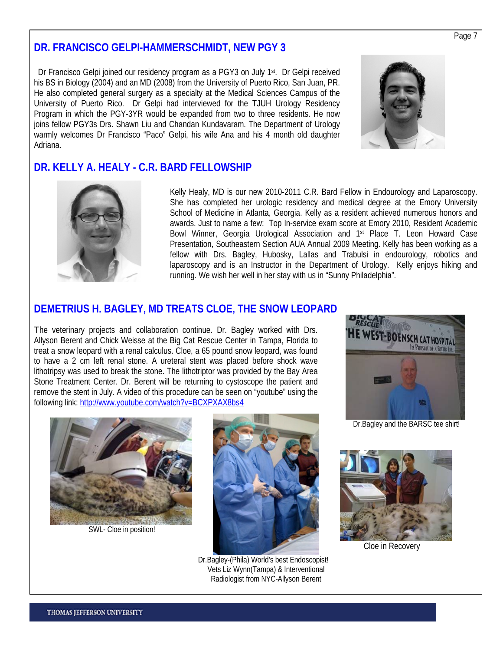### **DR. FRANCISCO GELPI-HAMMERSCHMIDT, NEW PGY 3**

Dr Francisco Gelpi joined our residency program as a PGY3 on July 1<sup>st</sup>. Dr Gelpi received his BS in Biology (2004) and an MD (2008) from the University of Puerto Rico, San Juan, PR. He also completed general surgery as a specialty at the Medical Sciences Campus of the University of Puerto Rico. Dr Gelpi had interviewed for the TJUH Urology Residency Program in which the PGY-3YR would be expanded from two to three residents. He now joins fellow PGY3s Drs. Shawn Liu and Chandan Kundavaram. The Department of Urology warmly welcomes Dr Francisco "Paco" Gelpi, his wife Ana and his 4 month old daughter Adriana.



### **DR. KELLY A. HEALY - C.R. BARD FELLOWSHIP**



Kelly Healy, MD is our new 2010-2011 C.R. Bard Fellow in Endourology and Laparoscopy. She has completed her urologic residency and medical degree at the Emory University School of Medicine in Atlanta, Georgia. Kelly as a resident achieved numerous honors and awards. Just to name a few: Top In-service exam score at Emory 2010, Resident Academic Bowl Winner, Georgia Urological Association and 1st Place T. Leon Howard Case Presentation, Southeastern Section AUA Annual 2009 Meeting. Kelly has been working as a fellow with Drs. Bagley, Hubosky, Lallas and Trabulsi in endourology, robotics and laparoscopy and is an Instructor in the Department of Urology. Kelly enjoys hiking and running. We wish her well in her stay with us in "Sunny Philadelphia".

### **DEMETRIUS H. BAGLEY, MD TREATS CLOE, THE SNOW LEOPARD**

The veterinary projects and collaboration continue. Dr. Bagley worked with Drs. Allyson Berent and Chick Weisse at the Big Cat Rescue Center in Tampa, Florida to treat a snow leopard with a renal calculus. Cloe, a 65 pound snow leopard, was found to have a 2 cm left renal stone. A ureteral stent was placed before shock wave lithotripsy was used to break the stone. The lithotriptor was provided by the Bay Area Stone Treatment Center. Dr. Berent will be returning to cystoscope the patient and remove the stent in July. A video of this procedure can be seen on "youtube" using the following link: <http://www.youtube.com/watch?v=BCXPXAX8bs4>



SWL- Cloe in position!



Dr.Bagley-(Phila) World's best Endoscopist! Vets Liz Wynn(Tampa) & Interventional Radiologist from NYC-Allyson Berent



Dr.Bagley and the BARSC tee shirt!



Cloe in Recovery

Page 7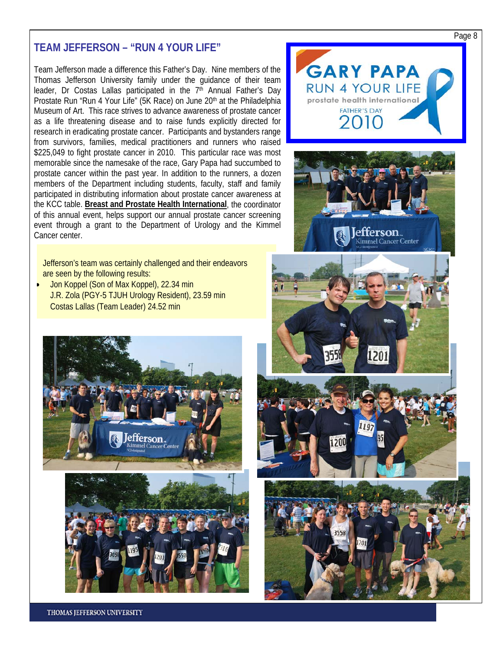### **TEAM JEFFERSON – "RUN 4 YOUR LIFE"**

Team Jefferson made a difference this Father's Day. Nine members of the Thomas Jefferson University family under the guidance of their team leader, Dr Costas Lallas participated in the  $7<sup>th</sup>$  Annual Father's Day Prostate Run "Run 4 Your Life" (5K Race) on June 20<sup>th</sup> at the Philadelphia Museum of Art. This race strives to advance awareness of prostate cancer as a life threatening disease and to raise funds explicitly directed for research in eradicating prostate cancer. Participants and bystanders range from survivors, families, medical practitioners and runners who raised \$225,049 to fight prostate cancer in 2010. This particular race was most memorable since the namesake of the race, Gary Papa had succumbed to prostate cancer within the past year. In addition to the runners, a dozen members of the Department including students, faculty, staff and family participated in distributing information about prostate cancer awareness at the KCC table. **Breast and Prostate Health International**, the coordinator of this annual event, helps support our annual prostate cancer screening event through a grant to the Department of Urology and the Kimmel Cancer center.

Jefferson's team was certainly challenged and their endeavors are seen by the following results:

 Jon Koppel (Son of Max Koppel), 22.34 min J.R. Zola (PGY-5 TJUH Urology Resident), 23.59 min Costas Lallas (Team Leader) 24.52 min



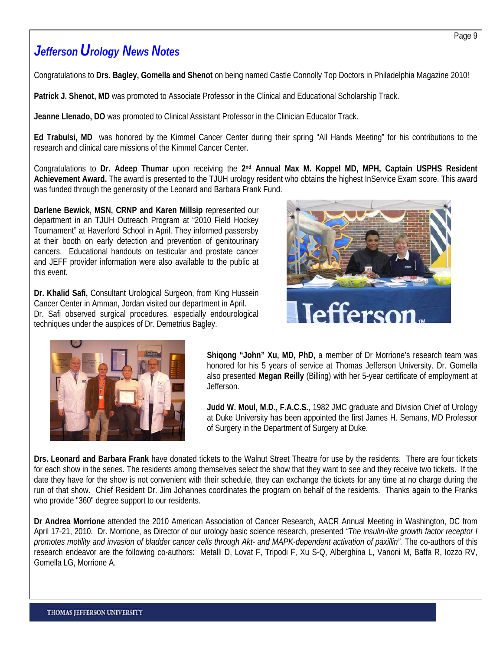# *Jefferson Urology News Notes*

Congratulations to **Drs. Bagley, Gomella and Shenot** on being named Castle Connolly Top Doctors in Philadelphia Magazine 2010!

**Patrick J. Shenot, MD** was promoted to Associate Professor in the Clinical and Educational Scholarship Track.

**Jeanne Llenado, DO** was promoted to Clinical Assistant Professor in the Clinician Educator Track.

**Ed Trabulsi, MD** was honored by the Kimmel Cancer Center during their spring "All Hands Meeting" for his contributions to the research and clinical care missions of the Kimmel Cancer Center.

Congratulations to **Dr. Adeep Thumar** upon receiving the **2nd Annual Max M. Koppel MD, MPH, Captain USPHS Resident Achievement Award.** The award is presented to the TJUH urology resident who obtains the highest InService Exam score. This award was funded through the generosity of the Leonard and Barbara Frank Fund.

**Darlene Bewick, MSN, CRNP and Karen Millsip represented our** department in an TJUH Outreach Program at "2010 Field Hockey Tournament" at Haverford School in April. They informed passersby at their booth on early detection and prevention of genitourinary cancers. Educational handouts on testicular and prostate cancer and JEFF provider information were also available to the public at this event.

**Dr. Khalid Safi,** Consultant Urological Surgeon, from King Hussein Cancer Center in Amman, Jordan visited our department in April. Dr. Safi observed surgical procedures, especially endourological techniques under the auspices of Dr. Demetrius Bagley.





**Shiqong "John" Xu, MD, PhD,** a member of Dr Morrione's research team was honored for his 5 years of service at Thomas Jefferson University. Dr. Gomella also presented **Megan Reilly** (Billing) with her 5-year certificate of employment at Jefferson.

**Judd W. Moul, M.D., F.A.C.S.**, 1982 JMC graduate and Division Chief of Urology at Duke University has been appointed the first James H. Semans, MD Professor of Surgery in the Department of Surgery at Duke.

**Drs. Leonard and Barbara Frank** have donated tickets to the Walnut Street Theatre for use by the residents. There are four tickets for each show in the series. The residents among themselves select the show that they want to see and they receive two tickets. If the date they have for the show is not convenient with their schedule, they can exchange the tickets for any time at no charge during the run of that show. Chief Resident Dr. Jim Johannes coordinates the program on behalf of the residents. Thanks again to the Franks who provide "360" degree support to our residents.

**Dr Andrea Morrione** attended the 2010 American Association of Cancer Research, AACR Annual Meeting in Washington, DC from April 17-21, 2010. Dr. Morrione, as Director of our urology basic science research, presented *"The insulin-like growth factor receptor I promotes motility and invasion of bladder cancer cells through Akt- and MAPK-dependent activation of paxillin".* The co-authors of this research endeavor are the following co-authors: Metalli D, Lovat F, Tripodi F, Xu S-Q, Alberghina L, Vanoni M, Baffa R, Iozzo RV, Gomella LG, Morrione A.